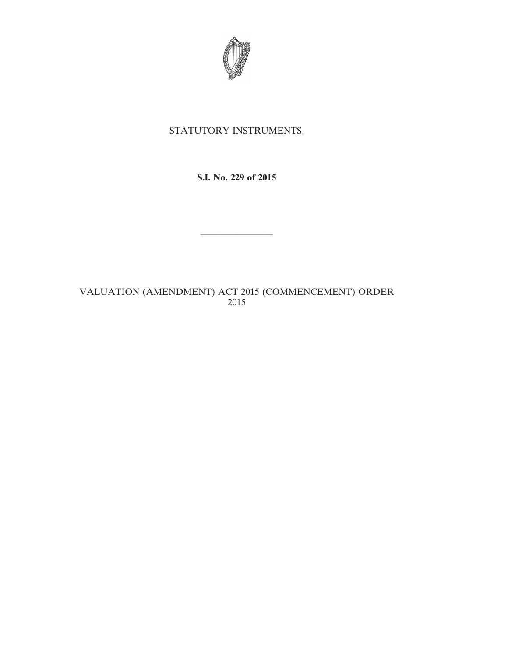

## STATUTORY INSTRUMENTS.

## **S.I. No. 229 of 2015**

————————

## VALUATION (AMENDMENT) ACT 2015 (COMMENCEMENT) ORDER 2015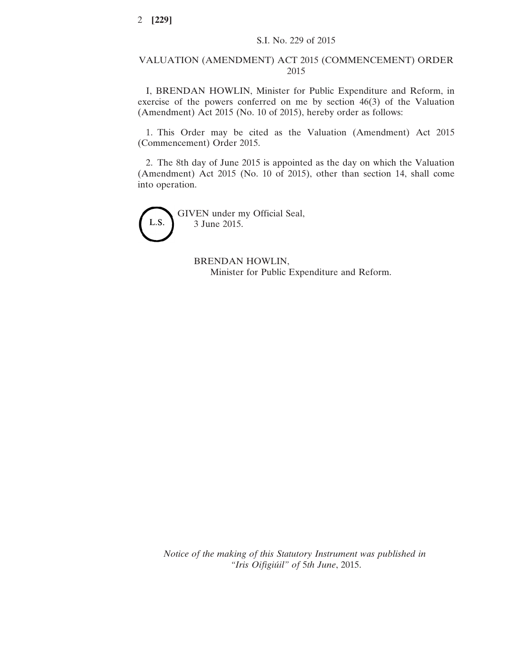## VALUATION (AMENDMENT) ACT 2015 (COMMENCEMENT) ORDER 2015

I, BRENDAN HOWLIN, Minister for Public Expenditure and Reform, in exercise of the powers conferred on me by section 46(3) of the Valuation (Amendment) Act 2015 (No. 10 of 2015), hereby order as follows:

1. This Order may be cited as the Valuation (Amendment) Act 2015 (Commencement) Order 2015.

2. The 8th day of June 2015 is appointed as the day on which the Valuation (Amendment) Act 2015 (No. 10 of 2015), other than section 14, shall come into operation.

L.S.

GIVEN under my Official Seal, 3 June 2015.

> BRENDAN HOWLIN, Minister for Public Expenditure and Reform.

*Notice of the making of this Statutory Instrument was published in "Iris Oifigiúil" of* 5*th June*, 2015.